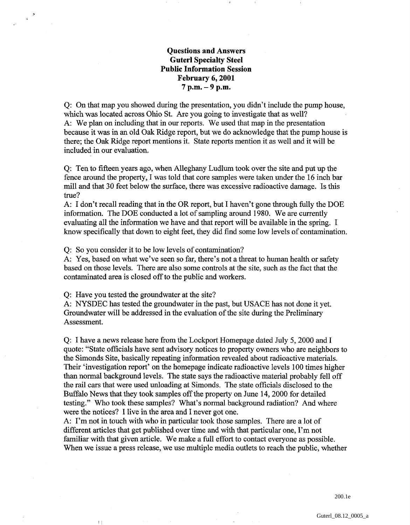## **Questions and Answers Guterl Specialty Steel Public Information Session February 6,2001 7 p.m.** - **9 p.m.**

Q: On that map you showed during the presentation, you didn't include the pump house, which was located across Ohio St. Are you going to investigate that as well? A: We plan on including that in our reports. We used that map in the presentation because it was in an old Oak Ridge report, but we do acknowledge that the pump house is there; the Oak Ridge report mentions it. State reports mention it as well and it will be included in our evaluation.

Q: Ten to fifteen years ago, when Alleghany Ludlum took over the site and put up the fence around the property, I was told that core samples were taken under the 16 inch bar mill and that 30 feet below the surface, there was excessive radioactive damage. Is this true?

A: I don't recall reading that in the OR report, but I haven't gone through fully the DOE information. The DOE conducted a lot of sampling around 1980. We are currently evaluating all the information we have and that report will be available in the spring. I know specifically that down to eight feet, they did find some low levels of contamination.

Q: So you consider it to be low levels of contamination?

A: Yes, based on what we've seen so far, there's not a threat to human health or safety based on those levels. There are also some controls at the site, such as the fact that the contaminated area is closed off to the public and workers.

Q: Have you tested the groundwater at the site?

 $\left\lceil \cdot \right\rceil$ 

A: NYSDEC has tested the groundwater in the past, but USACE has not done it yet. Groundwater will be addressed in the evaluation of the site during the Preliminary Assessment.

Q: I have a news release here from the Lockport Homepage dated July 5,2000 and I quote: "State officials have sent advisory notices to property owners who are neighbors to the Simonds Site, basically repeating information revealed about radioactive materials. Their 'investigation report' on the homepage indicate radioactive levels 100 times higher than normal background levels. The state says the radioactive material probably fell off the rail cars that were used unloading at Sirnonds. The state officials disclosed to the Buffalo News that they took samples off the property on June 14,2000 for detailed testing." Who took these samples? What's normal background radiation? And where were the notices? I live in the area and I never got one.

A: I'm not in touch with who in particular took those samples. There are a lot of different articles that get published over time and with that particular one, I'm not familiar with that given article. We make a full effort to contact everyone as possible. When we issue a press release, we use multiple media outlets to reach the public, whether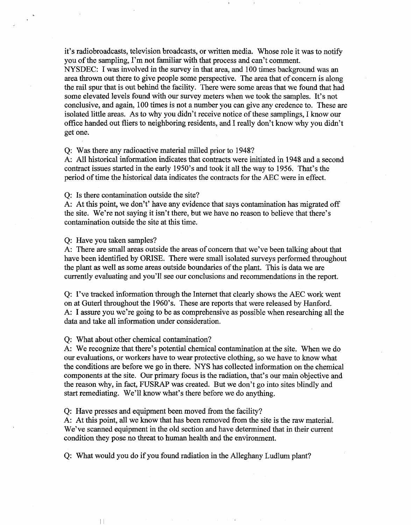it's radiobroadcasts, television broadcasts, or written media. Whose role it was to notify you of the sampling, I'm not familiar with that process and can't comment.

NYSDEC: I was involved in the survey in that area, and 100 times background was an area thrown out there to give people some perspective. The area that of concern is along the rail spur that is out behind the facility. There were some areas that we found that had some elevated levels found with our survey meters when we took the samples. It's not conclusive, and again, 100 times is not a number you can give any credence to. These are isolated little areas. As to why you didn't receive notice of these samplings, I know our office handed out fliers to neighboring residents, and I really don't know why you didn't get one.

Q: Was there any radioactive material milled prior to 1948?

A. All historical information indicates that contracts were initiated in 1948 and a second contract issues started in the early 1950's and took it all the way to 1956, That's the period of time the historical data indicates the contracts for the AEC were in effect.

Q: Is there contamination outside the site?

A: At this point, we don't' have any evidence that says contamination has migrated off the site. We're not saying it isn't there, but we have no reason to believe that there's contamination outside the site at this time.

Q: Have you taken samples?

 $\vert \vert$ 

A: There are small areas outside the areas of concern that we've been talking about that have been identified by ORISE. There were small isolated surveys performed throughout the plant as well as some areas outside boundaries of the plant. This is data we are currently evaluating and you'll see our conclusions and recommendations in the report.

Q: I've tracked information through the Internet that clearly shows the AEC work went on at Guterl throughout the 1960's. These are reports that were released by Hanford. A: I assure you we're going to be as comprehensive as possible when researching all the data and take all information under consideration.

Q: What about other chemical contamination?

A: We recognize that there's potential chemical contamination at the site. When we do our evaluations, or workers have to wear protective clothing, so we have to know what the conditions are before we go in there. NYS has collected information on the chemical components at the site. Our primary focus is the radiation, that's our main objective and the reason why, in fact, FUSRAP was created. But we don't go into sites blindly and start rernediating. We'll know what's there before we do anything.

Q: Have presses and equipment been moved from the facility?

A: At this point, all we know that has been removed from the site is the raw material. We've scanned equipment in the old section and have determined that in their current condition they pose no threat to human health and the environment.

Q: What would you do if you found radiation in the Alleghany Ludlum plant?